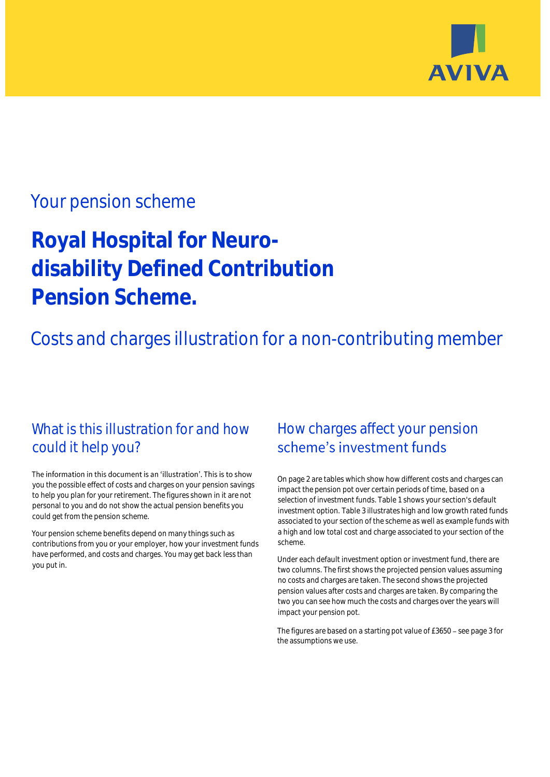

## Your pension scheme

# **Royal Hospital for Neurodisability Defined Contribution Pension Scheme.**

Costs and charges illustration for a non-contributing member

### What is this illustration for and how could it help you?

#### The information in this document is an 'illustration'. This is to show you the possible effect of costs and charges on your pension savings to help you plan for your retirement. The figures shown in it are not personal to you and do not show the actual pension benefits you could get from the pension scheme.

Your pension scheme benefits depend on many things such as contributions from you or your employer, how your investment funds have performed, and costs and charges. You may get back less than you put in.

### How charges affect your pension scheme's investment funds

On page 2 are tables which show how different costs and charges can impact the pension pot over certain periods of time, based on a selection of investment funds. Table 1 shows your section's default investment option. Table 3 illustrates high and low growth rated funds associated to your section of the scheme as well as example funds with a high and low total cost and charge associated to your section of the scheme.

Under each default investment option or investment fund, there are two columns. The first shows the projected pension values assuming no costs and charges are taken. The second shows the projected pension values after costs and charges are taken. By comparing the two you can see how much the costs and charges over the years will impact your pension pot.

The figures are based on a starting pot value of  $£3650 -$  see page 3 for the assumptions we use.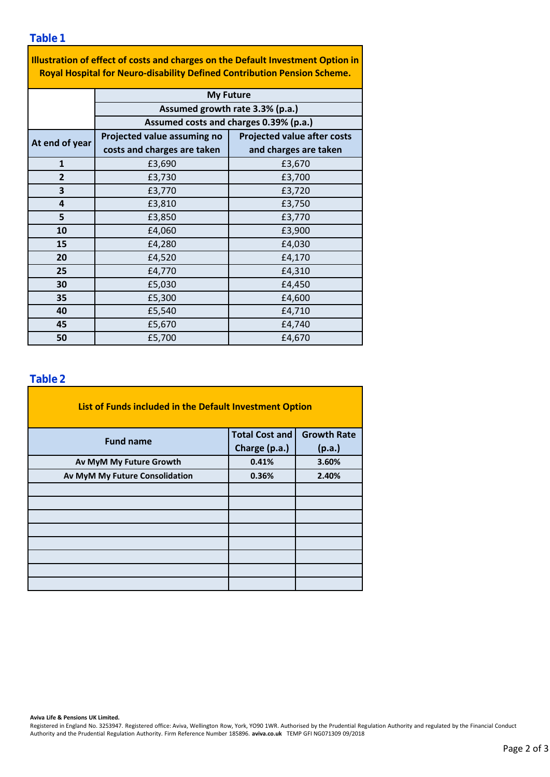**Table 1**

**Illustration of effect of costs and charges on the Default Investment Option in Royal Hospital for Neuro-disability Defined Contribution Pension Scheme.**

|                | <b>My Future</b>                       |                                    |  |  |  |  |  |  |
|----------------|----------------------------------------|------------------------------------|--|--|--|--|--|--|
|                | Assumed growth rate 3.3% (p.a.)        |                                    |  |  |  |  |  |  |
|                | Assumed costs and charges 0.39% (p.a.) |                                    |  |  |  |  |  |  |
| At end of year | Projected value assuming no            | <b>Projected value after costs</b> |  |  |  |  |  |  |
|                | costs and charges are taken            | and charges are taken              |  |  |  |  |  |  |
| $\mathbf{1}$   | £3,690                                 | £3,670                             |  |  |  |  |  |  |
| $\overline{2}$ | £3,730                                 | £3,700                             |  |  |  |  |  |  |
| 3              | £3,770                                 | £3,720                             |  |  |  |  |  |  |
| 4              | £3,810                                 | £3,750                             |  |  |  |  |  |  |
| 5              | £3,850                                 | £3,770                             |  |  |  |  |  |  |
| 10             | £4,060                                 | £3,900                             |  |  |  |  |  |  |
| 15             | £4,280                                 | £4,030                             |  |  |  |  |  |  |
| 20             | £4,520                                 | £4,170                             |  |  |  |  |  |  |
| 25             | £4,770                                 | £4,310                             |  |  |  |  |  |  |
| 30             | £5,030                                 | £4,450                             |  |  |  |  |  |  |
| 35             | £5,300                                 | £4,600                             |  |  |  |  |  |  |
| 40             | £5,540                                 | £4,710                             |  |  |  |  |  |  |
| 45             | £5,670                                 | £4,740                             |  |  |  |  |  |  |
| 50             | £5,700                                 | £4,670                             |  |  |  |  |  |  |

#### **Table 2**

| List of Funds included in the Default Investment Option |                       |                    |  |  |  |  |  |  |  |
|---------------------------------------------------------|-----------------------|--------------------|--|--|--|--|--|--|--|
| <b>Fund name</b>                                        | <b>Total Cost and</b> | <b>Growth Rate</b> |  |  |  |  |  |  |  |
|                                                         | Charge (p.a.)         | (p.a.)             |  |  |  |  |  |  |  |
| Av MyM My Future Growth                                 | 0.41%                 | 3.60%              |  |  |  |  |  |  |  |
| Av MyM My Future Consolidation                          | 0.36%                 | 2.40%              |  |  |  |  |  |  |  |
|                                                         |                       |                    |  |  |  |  |  |  |  |
|                                                         |                       |                    |  |  |  |  |  |  |  |
|                                                         |                       |                    |  |  |  |  |  |  |  |
|                                                         |                       |                    |  |  |  |  |  |  |  |
|                                                         |                       |                    |  |  |  |  |  |  |  |
|                                                         |                       |                    |  |  |  |  |  |  |  |
|                                                         |                       |                    |  |  |  |  |  |  |  |
|                                                         |                       |                    |  |  |  |  |  |  |  |

**Aviva Life & Pensions UK Limited.**

Registered in England No. 3253947. Registered office: Aviva, Wellington Row, York, YO90 1WR. Authorised by the Prudential Regulation Authority and regulated by the Financial Conduct Authority and the Prudential Regulation Authority. Firm Reference Number 185896. **aviva.co.uk** TEMP GFI NG071309 09/2018